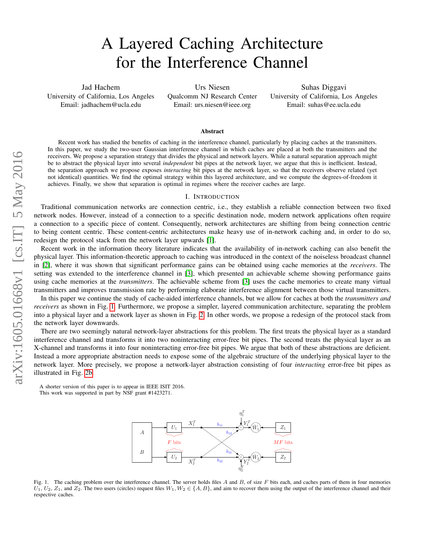# A Layered Caching Architecture for the Interference Channel

Jad Hachem University of California, Los Angeles Email: jadhachem@ucla.edu

Urs Niesen Qualcomm NJ Research Center Email: urs.niesen@ieee.org

Suhas Diggavi University of California, Los Angeles Email: suhas@ee.ucla.edu

#### Abstract

Recent work has studied the benefits of caching in the interference channel, particularly by placing caches at the transmitters. In this paper, we study the two-user Gaussian interference channel in which caches are placed at both the transmitters and the receivers. We propose a separation strategy that divides the physical and network layers. While a natural separation approach might be to abstract the physical layer into several *independent* bit pipes at the network layer, we argue that this is inefficient. Instead, the separation approach we propose exposes *interacting* bit pipes at the network layer, so that the receivers observe related (yet not identical) quantities. We find the optimal strategy within this layered architecture, and we compute the degrees-of-freedom it achieves. Finally, we show that separation is optimal in regimes where the receiver caches are large.

#### I. INTRODUCTION

Traditional communication networks are connection centric, i.e., they establish a reliable connection between two fixed network nodes. However, instead of a connection to a specific destination node, modern network applications often require a connection to a specific piece of content. Consequently, network architectures are shifting from being connection centric to being content centric. These content-centric architectures make heavy use of in-network caching and, in order to do so, redesign the protocol stack from the network layer upwards [\[1\]](#page-6-0).

Recent work in the information theory literature indicates that the availability of in-network caching can also benefit the physical layer. This information-theoretic approach to caching was introduced in the context of the noiseless broadcast channel in [\[2\]](#page-6-1), where it was shown that significant performance gains can be obtained using cache memories at the *receivers*. The setting was extended to the interference channel in [\[3\]](#page-6-2), which presented an achievable scheme showing performance gains using cache memories at the *transmitters*. The achievable scheme from [\[3\]](#page-6-2) uses the cache memories to create many virtual transmitters and improves transmission rate by performing elaborate interference alignment between those virtual transmitters.

In this paper we continue the study of cache-aided interference channels, but we allow for caches at both the *transmitters and receivers* as shown in Fig. [1.](#page-0-0) Furthermore, we propose a simpler, layered communication architecture, separating the problem into a physical layer and a network layer as shown in Fig. [2.](#page-1-0) In other words, we propose a redesign of the protocol stack from the network layer downwards.

There are two seemingly natural network-layer abstractions for this problem. The first treats the physical layer as a standard interference channel and transforms it into two noninteracting error-free bit pipes. The second treats the physical layer as an X-channel and transforms it into four noninteracting error-free bit pipes. We argue that both of these abstractions are deficient. Instead a more appropriate abstraction needs to expose some of the algebraic structure of the underlying physical layer to the network layer. More precisely, we propose a network-layer abstraction consisting of four *interacting* error-free bit pipes as illustrated in Fig. [2b.](#page-1-0)

<span id="page-0-0"></span>A shorter version of this paper is to appear in IEEE ISIT 2016. This work was supported in part by NSF grant #1423271.



Fig. 1. The caching problem over the interference channel. The server holds files  $A$  and  $B$ , of size  $F$  bits each, and caches parts of them in four memories  $U_1, U_2, Z_1$ , and  $Z_2$ . The two users (circles) request files  $W_1, W_2 \in \{A, B\}$ , and aim to recover them using the output of the interference channel and their respective caches.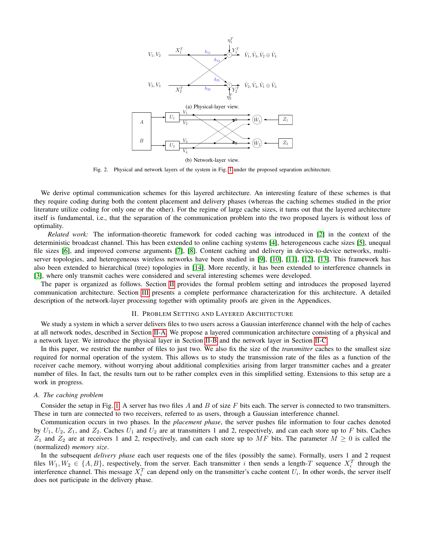<span id="page-1-0"></span>

Fig. 2. Physical and network layers of the system in Fig. [1](#page-0-0) under the proposed separation architecture.

We derive optimal communication schemes for this layered architecture. An interesting feature of these schemes is that they require coding during both the content placement and delivery phases (whereas the caching schemes studied in the prior literature utilize coding for only one or the other). For the regime of large cache sizes, it turns out that the layered architecture itself is fundamental, i.e., that the separation of the communication problem into the two proposed layers is without loss of optimality.

*Related work:* The information-theoretic framework for coded caching was introduced in [\[2\]](#page-6-1) in the context of the deterministic broadcast channel. This has been extended to online caching systems [\[4\]](#page-6-3), heterogeneous cache sizes [\[5\]](#page-6-4), unequal file sizes [\[6\]](#page-6-5), and improved converse arguments [\[7\]](#page-6-6), [\[8\]](#page-6-7). Content caching and delivery in device-to-device networks, multiserver topologies, and heterogeneous wireless networks have been studied in [\[9\]](#page-6-8), [\[10\]](#page-6-9), [\[11\]](#page-6-10), [\[12\]](#page-6-11), [\[13\]](#page-6-12). This framework has also been extended to hierarchical (tree) topologies in [\[14\]](#page-6-13). More recently, it has been extended to interference channels in [\[3\]](#page-6-2), where only transmit caches were considered and several interesting schemes were developed.

The paper is organized as follows. Section [II](#page-1-1) provides the formal problem setting and introduces the proposed layered communication architecture. Section [III](#page-3-0) presents a complete performance characterization for this architecture. A detailed description of the network-layer processing together with optimality proofs are given in the Appendices.

#### II. PROBLEM SETTING AND LAYERED ARCHITECTURE

<span id="page-1-1"></span>We study a system in which a server delivers files to two users across a Gaussian interference channel with the help of caches at all network nodes, described in Section [II-A.](#page-1-2) We propose a layered communication architecture consisting of a physical and a network layer. We introduce the physical layer in Section [II-B](#page-2-0) and the network layer in Section [II-C.](#page-3-1)

In this paper, we restrict the number of files to just two. We also fix the size of the *transmitter* caches to the smallest size required for normal operation of the system. This allows us to study the transmission rate of the files as a function of the receiver cache memory, without worrying about additional complexities arising from larger transmitter caches and a greater number of files. In fact, the results turn out to be rather complex even in this simplified setting. Extensions to this setup are a work in progress.

#### <span id="page-1-2"></span>*A. The caching problem*

Consider the setup in Fig. [1.](#page-0-0) A server has two files A and B of size F bits each. The server is connected to two transmitters. These in turn are connected to two receivers, referred to as users, through a Gaussian interference channel.

Communication occurs in two phases. In the *placement phase*, the server pushes file information to four caches denoted by  $U_1$ ,  $U_2$ ,  $Z_1$ , and  $Z_2$ . Caches  $U_1$  and  $U_2$  are at transmitters 1 and 2, respectively, and can each store up to F bits. Caches  $Z_1$  and  $Z_2$  are at receivers 1 and 2, respectively, and can each store up to MF bits. The parameter  $M \ge 0$  is called the (normalized) *memory size*.

In the subsequent *delivery phase* each user requests one of the files (possibly the same). Formally, users 1 and 2 request files  $W_1, W_2 \in \{A, B\}$ , respectively, from the server. Each transmitter i then sends a length-T sequence  $X_i^T$  through the interference channel. This message  $X_i^T$  can depend only on the transmitter's cache content  $U_i$ . In other words, the server itself does not participate in the delivery phase.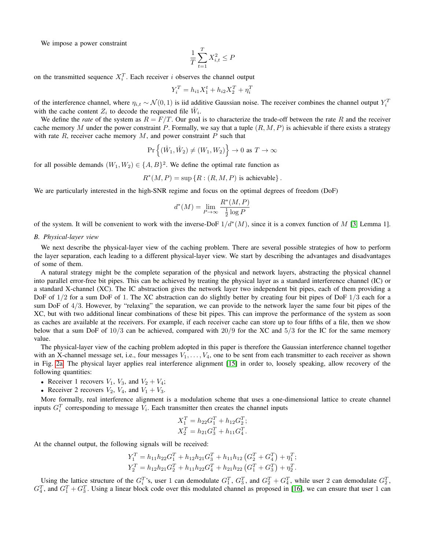We impose a power constraint

$$
\frac{1}{T} \sum_{t=1}^{T} X_{i,t}^2 \leq F
$$

on the transmitted sequence  $X_i^T$ . Each receiver i observes the channel output

$$
Y_i^T = h_{i1}X_1^t + h_{i2}X_2^T + \eta_i^T
$$

of the interference channel, where  $\eta_{i,t} \sim \mathcal{N}(0,1)$  is iid additive Gaussian noise. The receiver combines the channel output  $Y_i^T$ with the cache content  $Z_i$  to decode the requested file  $\hat{W}_i$ .

We define the *rate* of the system as  $R = F/T$ . Our goal is to characterize the trade-off between the rate R and the receiver cache memory M under the power constraint P. Formally, we say that a tuple  $(R, M, P)$  is achievable if there exists a strategy with rate  $R$ , receiver cache memory  $M$ , and power constraint  $P$  such that

$$
\Pr\left\{ (\hat{W}_1, \hat{W}_2) \neq (W_1, W_2) \right\} \to 0 \text{ as } T \to \infty
$$

for all possible demands  $(W_1, W_2) \in \{A, B\}^2$ . We define the optimal rate function as

$$
R^*(M,P)=\sup\left\{R:(R,M,P)\text{ is achievable}\right\}.
$$

We are particularly interested in the high-SNR regime and focus on the optimal degrees of freedom (DoF)

$$
d^*(M)=\lim_{P\to\infty}\frac{R^*(M,P)}{\frac{1}{2}\log P}
$$

of the system. It will be convenient to work with the inverse-DoF  $1/d^*(M)$ , since it is a convex function of M [\[3,](#page-6-2) Lemma 1].

#### <span id="page-2-0"></span>*B. Physical-layer view*

We next describe the physical-layer view of the caching problem. There are several possible strategies of how to perform the layer separation, each leading to a different physical-layer view. We start by describing the advantages and disadvantages of some of them.

A natural strategy might be the complete separation of the physical and network layers, abstracting the physical channel into parallel error-free bit pipes. This can be achieved by treating the physical layer as a standard interference channel (IC) or a standard X-channel (XC). The IC abstraction gives the network layer two independent bit pipes, each of them providing a DoF of  $1/2$  for a sum DoF of 1. The XC abstraction can do slightly better by creating four bit pipes of DoF  $1/3$  each for a sum DoF of 4/3. However, by "relaxing" the separation, we can provide to the network layer the same four bit pipes of the XC, but with two additional linear combinations of these bit pipes. This can improve the performance of the system as soon as caches are available at the receivers. For example, if each receiver cache can store up to four fifths of a file, then we show below that a sum DoF of  $10/3$  can be achieved, compared with  $20/9$  for the XC and  $5/3$  for the IC for the same memory value.

The physical-layer view of the caching problem adopted in this paper is therefore the Gaussian interference channel together with an X-channel message set, i.e., four messages  $V_1, \ldots, V_4$ , one to be sent from each transmitter to each receiver as shown in Fig. [2a.](#page-1-0) The physical layer applies real interference alignment [\[15\]](#page-6-14) in order to, loosely speaking, allow recovery of the following quantities:

• Receiver 1 recovers  $V_1$ ,  $V_3$ , and  $V_2 + V_4$ ;

• Receiver 2 recovers  $V_2$ ,  $V_4$ , and  $V_1 + V_3$ .

More formally, real interference alignment is a modulation scheme that uses a one-dimensional lattice to create channel inputs  $G_i^T$  corresponding to message  $V_i$ . Each transmitter then creates the channel inputs

$$
X_1^T = h_{22}G_1^T + h_{12}G_2^T;
$$
  

$$
X_2^T = h_{21}G_3^T + h_{11}G_4^T.
$$

At the channel output, the following signals will be received:

$$
Y_1^T = h_{11}h_{22}G_1^T + h_{12}h_{21}G_3^T + h_{11}h_{12}(G_2^T + G_4^T) + \eta_1^T;
$$
  

$$
Y_2^T = h_{12}h_{21}G_2^T + h_{11}h_{22}G_4^T + h_{21}h_{22}(G_1^T + G_3^T) + \eta_2^T.
$$

Using the lattice structure of the  $G_i^T$ 's, user 1 can demodulate  $G_1^T$ ,  $G_3^T$ , and  $G_2^T + G_4^T$ , while user 2 can demodulate  $G_2^T$ ,  $G_4^T$ , and  $G_1^T + G_3^T$ . Using a linear block code over this modulated channel as proposed in [\[16\]](#page-6-15), we can ensure that user 1 can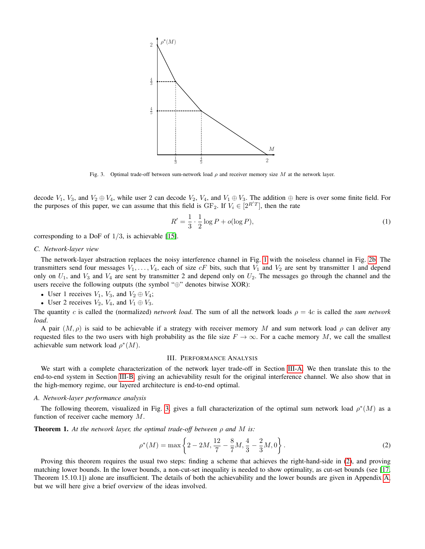<span id="page-3-3"></span>

Fig. 3. Optimal trade-off between sum-network load  $\rho$  and receiver memory size M at the network layer.

decode  $V_1$ ,  $V_3$ , and  $V_2 \oplus V_4$ , while user 2 can decode  $V_2$ ,  $V_4$ , and  $V_1 \oplus V_3$ . The addition  $\oplus$  here is over some finite field. For the purposes of this paper, we can assume that this field is  $GF_2$ . If  $V_i \in [2^{R'T}]$ , then the rate

<span id="page-3-5"></span>
$$
R' = \frac{1}{3} \cdot \frac{1}{2} \log P + o(\log P),\tag{1}
$$

corresponding to a DoF of  $1/3$ , is achievable [\[15\]](#page-6-14).

#### <span id="page-3-1"></span>*C. Network-layer view*

The network-layer abstraction replaces the noisy interference channel in Fig. [1](#page-0-0) with the noiseless channel in Fig. [2b.](#page-1-0) The transmitters send four messages  $V_1, \ldots, V_4$ , each of size  $cF$  bits, such that  $V_1$  and  $V_2$  are sent by transmitter 1 and depend only on  $U_1$ , and  $V_3$  and  $V_4$  are sent by transmitter 2 and depend only on  $U_2$ . The messages go through the channel and the users receive the following outputs (the symbol "⊕" denotes bitwise XOR):

- User 1 receives  $V_1$ ,  $V_3$ , and  $V_2 \oplus V_4$ ;
- User 2 receives  $V_2$ ,  $V_4$ , and  $V_1 \oplus V_3$ .

The quantity c is called the (normalized) *network load*. The sum of all the network loads  $\rho = 4c$  is called the *sum network load*.

A pair  $(M, \rho)$  is said to be achievable if a strategy with receiver memory M and sum network load  $\rho$  can deliver any requested files to the two users with high probability as the file size  $F \to \infty$ . For a cache memory M, we call the smallest achievable sum network load  $\rho^*(M)$ .

# III. PERFORMANCE ANALYSIS

<span id="page-3-0"></span>We start with a complete characterization of the network layer trade-off in Section [III-A.](#page-3-2) We then translate this to the end-to-end system in Section [III-B,](#page-5-0) giving an achievability result for the original interference channel. We also show that in the high-memory regime, our layered architecture is end-to-end optimal.

#### <span id="page-3-2"></span>*A. Network-layer performance analysis*

The following theorem, visualized in Fig. [3,](#page-3-3) gives a full characterization of the optimal sum network load  $\rho^*(M)$  as a function of receiver cache memory M.

<span id="page-3-6"></span>Theorem 1. *At the network layer, the optimal trade-off between* ρ *and* M *is:*

<span id="page-3-4"></span>
$$
\rho^*(M) = \max\left\{2 - 2M, \frac{12}{7} - \frac{8}{7}M, \frac{4}{3} - \frac{2}{3}M, 0\right\}.
$$
 (2)

Proving this theorem requires the usual two steps: finding a scheme that achieves the right-hand-side in [\(2\)](#page-3-4), and proving matching lower bounds. In the lower bounds, a non-cut-set inequality is needed to show optimality, as cut-set bounds (see [\[17,](#page-6-16) Theorem 15.10.1]) alone are insufficient. The details of both the achievability and the lower bounds are given in Appendix [A,](#page-6-17) but we will here give a brief overview of the ideas involved.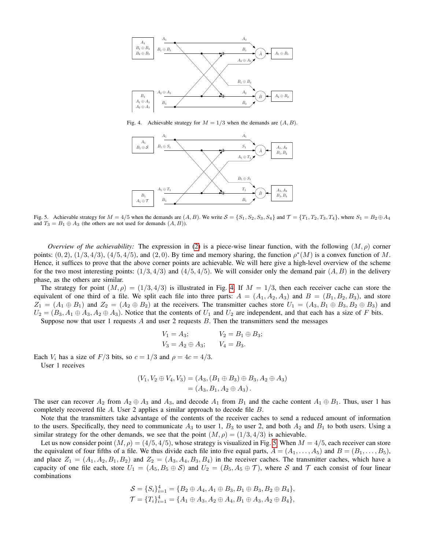<span id="page-4-0"></span>

Fig. 4. Achievable strategy for  $M = 1/3$  when the demands are  $(A, B)$ .



<span id="page-4-1"></span>Fig. 5. Achievable strategy for  $M = 4/5$  when the demands are  $(A, B)$ . We write  $S = \{S_1, S_2, S_3, S_4\}$  and  $\mathcal{T} = \{T_1, T_2, T_3, T_4\}$ , where  $S_1 = B_2 \oplus A_4$ and  $T_3 = B_1 \oplus A_3$  (the others are not used for demands  $(A, B)$ ).

*Overview of the achievability:* The expression in [\(2\)](#page-3-4) is a piece-wise linear function, with the following  $(M, \rho)$  corner points:  $(0, 2)$ ,  $(1/3, 4/3)$ ,  $(4/5, 4/5)$ , and  $(2, 0)$ . By time and memory sharing, the function  $\rho^*(M)$  is a convex function of M. Hence, it suffices to prove that the above corner points are achievable. We will here give a high-level overview of the scheme for the two most interesting points:  $(1/3, 4/3)$  and  $(4/5, 4/5)$ . We will consider only the demand pair  $(A, B)$  in the delivery phase, as the others are similar.

The strategy for point  $(M, \rho) = (1/3, 4/3)$  is illustrated in Fig. [4.](#page-4-0) If  $M = 1/3$ , then each receiver cache can store the equivalent of one third of a file. We split each file into three parts:  $A = (A_1, A_2, A_3)$  and  $B = (B_1, B_2, B_3)$ , and store  $Z_1 = (A_1 \oplus B_1)$  and  $Z_2 = (A_2 \oplus B_2)$  at the receivers. The transmitter caches store  $U_1 = (A_3, B_1 \oplus B_3, B_2 \oplus B_3)$  and  $U_2 = (B_3, A_1 \oplus A_3, A_2 \oplus A_3)$ . Notice that the contents of  $U_1$  and  $U_2$  are independent, and that each has a size of F bits.

Suppose now that user 1 requests  $A$  and user 2 requests  $B$ . Then the transmitters send the messages

$$
V_1 = A_3; \t V_2 = B_1 \oplus B_3; V_3 = A_2 \oplus A_3; \t V_4 = B_3.
$$

Each  $V_i$  has a size of  $F/3$  bits, so  $c = 1/3$  and  $\rho = 4c = 4/3$ . User 1 receives

$$
(V_1, V_2 \oplus V_4, V_3) = (A_3, (B_1 \oplus B_3) \oplus B_3, A_2 \oplus A_3)
$$
  
=  $(A_3, B_1, A_2 \oplus A_3)$ .

The user can recover  $A_2$  from  $A_2 \oplus A_3$  and  $A_3$ , and decode  $A_1$  from  $B_1$  and the cache content  $A_1 \oplus B_1$ . Thus, user 1 has completely recovered file A. User 2 applies a similar approach to decode file B.

Note that the transmitters take advantage of the contents of the receiver caches to send a reduced amount of information to the users. Specifically, they need to communicate  $A_3$  to user 1,  $B_3$  to user 2, and both  $A_2$  and  $B_1$  to both users. Using a similar strategy for the other demands, we see that the point  $(M, \rho) = (1/3, 4/3)$  is achievable.

Let us now consider point  $(M, \rho) = (4/5, 4/5)$ , whose strategy is visualized in Fig. [5.](#page-4-1) When  $M = 4/5$ , each receiver can store the equivalent of four fifths of a file. We thus divide each file into five equal parts,  $A = (A_1, \ldots, A_5)$  and  $B = (B_1, \ldots, B_5)$ , and place  $Z_1 = (A_1, A_2, B_1, B_2)$  and  $Z_2 = (A_3, A_4, B_3, B_4)$  in the receiver caches. The transmitter caches, which have a capacity of one file each, store  $U_1 = (A_5, B_5 \oplus S)$  and  $U_2 = (B_5, A_5 \oplus T)$ , where S and T each consist of four linear combinations

$$
S = \{S_i\}_{i=1}^4 = \{B_2 \oplus A_4, A_1 \oplus B_3, B_1 \oplus B_3, B_2 \oplus B_4\},
$$
  

$$
\mathcal{T} = \{T_i\}_{i=1}^4 = \{A_1 \oplus A_3, A_2 \oplus A_4, B_1 \oplus A_3, A_2 \oplus B_4\},
$$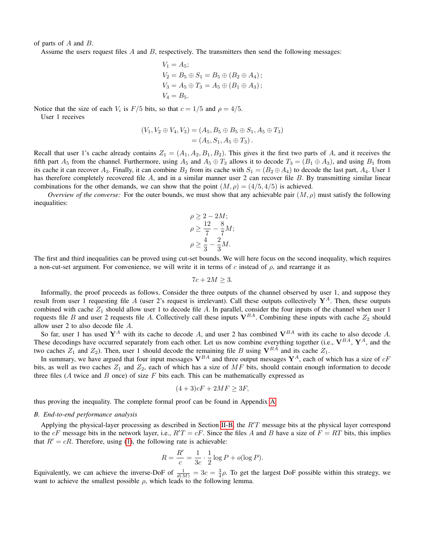of parts of A and B.

Assume the users request files A and B, respectively. The transmitters then send the following messages:

$$
V_1 = A_5; \nV_2 = B_5 \oplus S_1 = B_5 \oplus (B_2 \oplus A_4); \nV_3 = A_5 \oplus T_3 = A_5 \oplus (B_1 \oplus A_3); \nV_4 = B_5.
$$

Notice that the size of each  $V_i$  is  $F/5$  bits, so that  $c = 1/5$  and  $\rho = 4/5$ . User 1 receives

$$
(V_1, V_2 \oplus V_4, V_3) = (A_5, B_5 \oplus B_5 \oplus S_1, A_5 \oplus T_3)
$$
  
=  $(A_5, S_1, A_5 \oplus T_3)$ .

Recall that user 1's cache already contains  $Z_1 = (A_1, A_2, B_1, B_2)$ . This gives it the first two parts of A, and it receives the fifth part  $A_5$  from the channel. Furthermore, using  $A_5$  and  $A_5 \oplus T_3$  allows it to decode  $T_3 = (B_1 \oplus A_3)$ , and using  $B_1$  from its cache it can recover  $A_3$ . Finally, it can combine  $B_2$  from its cache with  $S_1 = (B_2 \oplus A_4)$  to decode the last part,  $A_4$ . User 1 has therefore completely recovered file A, and in a similar manner user 2 can recover file B. By transmitting similar linear combinations for the other demands, we can show that the point  $(M, \rho) = (4/5, 4/5)$  is achieved.

*Overview of the converse:* For the outer bounds, we must show that any achievable pair  $(M, \rho)$  must satisfy the following inequalities:

$$
\rho \ge 2 - 2M;
$$
  
\n
$$
\rho \ge \frac{12}{7} - \frac{8}{7}M;
$$
  
\n
$$
\rho \ge \frac{4}{3} - \frac{2}{3}M.
$$

The first and third inequalities can be proved using cut-set bounds. We will here focus on the second inequality, which requires a non-cut-set argument. For convenience, we will write it in terms of c instead of  $\rho$ , and rearrange it as

$$
7c + 2M \ge 3.
$$

Informally, the proof proceeds as follows. Consider the three outputs of the channel observed by user 1, and suppose they result from user 1 requesting file A (user 2's request is irrelevant). Call these outputs collectively  $Y^A$ . Then, these outputs combined with cache  $Z_1$  should allow user 1 to decode file A. In parallel, consider the four inputs of the channel when user 1 requests file B and user 2 requests file A. Collectively call these inputs  $V^{BA}$ . Combining these inputs with cache  $Z_2$  should allow user 2 to also decode file A.

So far, user 1 has used  $Y^A$  with its cache to decode A, and user 2 has combined  $V^{BA}$  with its cache to also decode A. These decodings have occurred separately from each other. Let us now combine everything together (i.e.,  $V^{BA}$ ,  $Y^A$ , and the two caches  $Z_1$  and  $Z_2$ ). Then, user 1 should decode the remaining file B using  $V^{BA}$  and its cache  $Z_1$ .

In summary, we have argued that four input messages  $V^{BA}$  and three output messages  $Y^A$ , each of which has a size of  $cF$ bits, as well as two caches  $Z_1$  and  $Z_2$ , each of which has a size of MF bits, should contain enough information to decode three files ( $A$  twice and  $B$  once) of size  $F$  bits each. This can be mathematically expressed as

$$
(4+3)cF + 2MF \ge 3F,
$$

thus proving the inequality. The complete formal proof can be found in Appendix [A.](#page-6-17)

#### <span id="page-5-0"></span>*B. End-to-end performance analysis*

Applying the physical-layer processing as described in Section [II-B,](#page-2-0) the  $R'T$  message bits at the physical layer correspond to the cF message bits in the network layer, i.e.,  $R'T = cF$ . Since the files A and B have a size of  $F = RT$  bits, this implies that  $R' = cR$ . Therefore, using [\(1\)](#page-3-5), the following rate is achievable:

$$
R = \frac{R'}{c} = \frac{1}{3c} \cdot \frac{1}{2} \log P + o(\log P).
$$

Equivalently, we can achieve the inverse-DoF of  $\frac{1}{d(M)} = 3c = \frac{3}{4}\rho$ . To get the largest DoF possible within this strategy, we want to achieve the smallest possible  $\rho$ , which leads to the following lemma.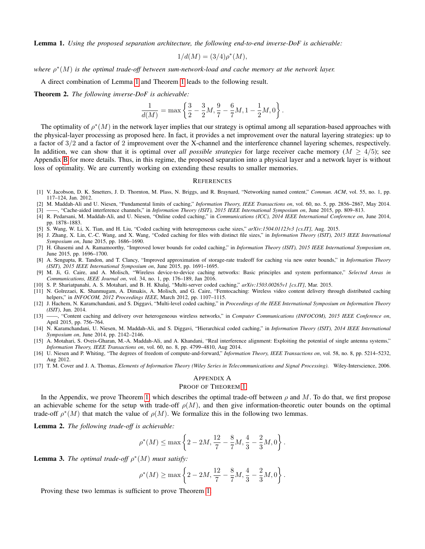<span id="page-6-18"></span>Lemma 1. *Using the proposed separation architecture, the following end-to-end inverse-DoF is achievable:*

$$
1/d(M) = (3/4)\rho^*(M),
$$

where  $\rho^*(M)$  is the optimal trade-off between sum-network-load and cache memory at the network layer.

A direct combination of Lemma [1](#page-6-18) and Theorem [1](#page-3-6) leads to the following result.

<span id="page-6-21"></span>Theorem 2. *The following inverse-DoF is achievable:*

$$
\frac{1}{d(M)} = \max\left\{\frac{3}{2} - \frac{3}{2}M, \frac{9}{7} - \frac{6}{7}M, 1 - \frac{1}{2}M, 0\right\}.
$$

The optimality of  $\rho^*(M)$  in the network layer implies that our strategy is optimal among all separation-based approaches with the physical-layer processing as proposed here. In fact, it provides a net improvement over the natural layering strategies: up to a factor of 3/2 and a factor of 2 improvement over the X-channel and the interference channel layering schemes, respectively. In addition, we can show that it is optimal over *all possible strategies* for large receiver cache memory ( $M > 4/5$ ); see Appendix [B](#page-9-0) for more details. Thus, in this regime, the proposed separation into a physical layer and a network layer is without loss of optimality. We are currently working on extending these results to smaller memories.

#### **REFERENCES**

- <span id="page-6-0"></span>[1] V. Jacobson, D. K. Smetters, J. D. Thornton, M. Plass, N. Briggs, and R. Braynard, "Networking named content," *Commun. ACM*, vol. 55, no. 1, pp. 117–124, Jan. 2012.
- <span id="page-6-1"></span>[2] M. Maddah-Ali and U. Niesen, "Fundamental limits of caching," *Information Theory, IEEE Transactions on*, vol. 60, no. 5, pp. 2856–2867, May 2014.
- <span id="page-6-2"></span>[3] ——, "Cache-aided interference channels," in *Information Theory (ISIT), 2015 IEEE International Symposium on*, June 2015, pp. 809–813.
- <span id="page-6-3"></span>[4] R. Pedarsani, M. Maddah-Ali, and U. Niesen, "Online coded caching," in *Communications (ICC), 2014 IEEE International Conference on*, June 2014, pp. 1878–1883.
- <span id="page-6-4"></span>[5] S. Wang, W. Li, X. Tian, and H. Liu, "Coded caching with heterogeneous cache sizes," *arXiv:1504.01123v3 [cs.IT]*, Aug. 2015.
- <span id="page-6-5"></span>[6] J. Zhang, X. Lin, C.-C. Wang, and X. Wang, "Coded caching for files with distinct file sizes," in *Information Theory (ISIT), 2015 IEEE International Symposium on*, June 2015, pp. 1686–1690.
- <span id="page-6-6"></span>[7] H. Ghasemi and A. Ramamoorthy, "Improved lower bounds for coded caching," in *Information Theory (ISIT), 2015 IEEE International Symposium on*, June 2015, pp. 1696–1700.
- <span id="page-6-7"></span>[8] A. Sengupta, R. Tandon, and T. Clancy, "Improved approximation of storage-rate tradeoff for caching via new outer bounds," in *Information Theory (ISIT), 2015 IEEE International Symposium on*, June 2015, pp. 1691–1695.
- <span id="page-6-8"></span>[9] M. Ji, G. Caire, and A. Molisch, "Wireless device-to-device caching networks: Basic principles and system performance," *Selected Areas in Communications, IEEE Journal on*, vol. 34, no. 1, pp. 176–189, Jan 2016.
- <span id="page-6-9"></span>[10] S. P. Shariatpanahi, A. S. Motahari, and B. H. Khalaj, "Multi-server coded caching," *arXiv:1503.00265v1 [cs.IT]*, Mar. 2015.
- <span id="page-6-10"></span>[11] N. Golrezaei, K. Shanmugam, A. Dimakis, A. Molisch, and G. Caire, "Femtocaching: Wireless video content delivery through distributed caching helpers," in *INFOCOM, 2012 Proceedings IEEE*, March 2012, pp. 1107–1115.
- <span id="page-6-11"></span>[12] J. Hachem, N. Karamchandani, and S. Diggavi, "Multi-level coded caching," in *Proceedings of the IEEE International Symposium on Information Theory (ISIT)*, Jun. 2014.
- <span id="page-6-12"></span>[13] ——, "Content caching and delivery over heterogeneous wireless networks," in *Computer Communications (INFOCOM), 2015 IEEE Conference on*, April 2015, pp. 756–764.
- <span id="page-6-13"></span>[14] N. Karamchandani, U. Niesen, M. Maddah-Ali, and S. Diggavi, "Hierarchical coded caching," in *Information Theory (ISIT), 2014 IEEE International Symposium on*, June 2014, pp. 2142–2146.
- <span id="page-6-14"></span>[15] A. Motahari, S. Oveis-Gharan, M.-A. Maddah-Ali, and A. Khandani, "Real interference alignment: Exploiting the potential of single antenna systems," *Information Theory, IEEE Transactions on*, vol. 60, no. 8, pp. 4799–4810, Aug 2014.
- <span id="page-6-15"></span>[16] U. Niesen and P. Whiting, "The degrees of freedom of compute-and-forward," *Information Theory, IEEE Transactions on*, vol. 58, no. 8, pp. 5214–5232, Aug 2012.
- <span id="page-6-16"></span>[17] T. M. Cover and J. A. Thomas, *Elements of Information Theory (Wiley Series in Telecommunications and Signal Processing)*. Wiley-Interscience, 2006.

# <span id="page-6-17"></span>APPENDIX A

### PROOF OF THEOREM [1](#page-3-6)

In the Appendix, we prove Theorem [1,](#page-3-6) which describes the optimal trade-off between  $\rho$  and M. To do that, we first propose an achievable scheme for the setup with trade-off  $\rho(M)$ , and then give information-theoretic outer bounds on the optimal trade-off  $\rho^*(M)$  that match the value of  $\rho(M)$ . We formalize this in the following two lemmas.

<span id="page-6-19"></span>Lemma 2. *The following trade-off is achievable:*

$$
\rho^*(M) \le \max\left\{2 - 2M, \frac{12}{7} - \frac{8}{7}M, \frac{4}{3} - \frac{2}{3}M, 0\right\}.
$$

<span id="page-6-20"></span>**Lemma 3.** The optimal trade-off  $\rho^*(M)$  must satisfy:

$$
\rho^*(M) \ge \max\left\{2-2M, \frac{12}{7}-\frac{8}{7}M, \frac{4}{3}-\frac{2}{3}M, 0\right\}.
$$

Proving these two lemmas is sufficient to prove Theorem [1.](#page-3-6)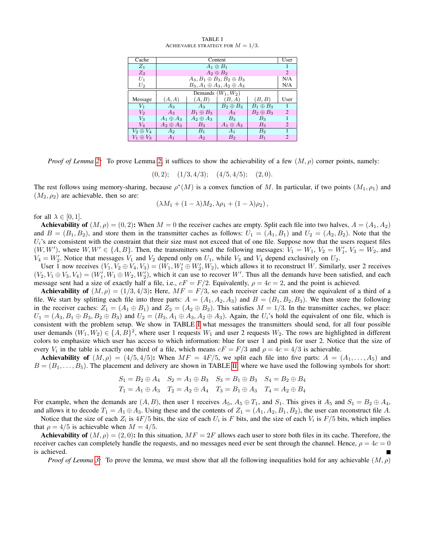<span id="page-7-0"></span>

| Cache              | Content                               |                  |                  |                  |                |
|--------------------|---------------------------------------|------------------|------------------|------------------|----------------|
| $Z_1$              | $A_1 \oplus B_1$                      |                  |                  |                  |                |
| $Z_2$              | $A_2 \oplus B_2$                      |                  |                  |                  |                |
| $U_1$              | $A_3, B_1 \oplus B_3, B_2 \oplus B_3$ |                  |                  |                  |                |
| $U_2$              | $B_3, A_1 \oplus A_3, A_2 \oplus A_3$ |                  |                  |                  |                |
|                    | Demands $(W_1, W_2)$                  |                  |                  |                  |                |
| Message            | (A, A)                                | (A, B)           | (B, A)           | (B, B)           | User           |
| $V_1$              | $A_3$                                 | $A_3$            | $B_2 \oplus B_3$ | $B_1 \oplus B_3$ |                |
| $V_2$              | $A_3$                                 | $B_1 \oplus B_3$ | $A_3$            | $B_2 \oplus B_3$ | $\mathcal{D}$  |
| $V_3$              | $A_1 \oplus A_3$                      | $A_2 \oplus A_3$ | $B_3$            | $B_3$            |                |
| $\scriptstyle V_4$ | $A_2 \oplus A_3$                      | $B_3$            | $A_1 \oplus A_3$ | $B_3$            | $\mathfrak{D}$ |
| $V_2\oplus V_4$    | $A_2$                                 | $B_1$            | $A_1$            | B <sub>2</sub>   |                |
| $V_1\oplus V_3$    | A <sub>1</sub>                        | $A_2$            | B <sub>2</sub>   | $B_1$            |                |

| <b>TABLE I</b>                    |  |
|-----------------------------------|--|
| ACHIEVABLE STRATEGY FOR $M=1/3$ . |  |

*Proof of Lemma* [2:](#page-6-19) To prove Lemma [2,](#page-6-19) it suffices to show the achievability of a few  $(M, \rho)$  corner points, namely:

 $(0, 2);$   $(1/3, 4/3);$   $(4/5, 4/5);$   $(2, 0).$ 

The rest follows using memory-sharing, because  $\rho^*(M)$  is a convex function of M. In particular, if two points  $(M_1, \rho_1)$  and  $(M_2, \rho_2)$  are achievable, then so are:

$$
(\lambda M_1 + (1 - \lambda)M_2, \lambda \rho_1 + (1 - \lambda)\rho_2),
$$

for all  $\lambda \in [0, 1]$ .

Achievability of  $(M, \rho) = (0, 2)$ : When  $M = 0$  the receiver caches are empty. Split each file into two halves,  $A = (A_1, A_2)$ and  $B = (B_1, B_2)$ , and store them in the transmitter caches as follows:  $U_1 = (A_1, B_1)$  and  $U_2 = (A_2, B_2)$ . Note that the  $U_i$ 's are consistent with the constraint that their size must not exceed that of one file. Suppose now that the users request files  $(W, W')$ , where  $W, W' \in \{A, B\}$ . Then, the transmitters send the following messages:  $V_1 = W_1$ ,  $V_2 = W'_1$ ,  $V_3 = W_2$ , and  $V_4 = W'_2$ . Notice that messages  $V_1$  and  $V_2$  depend only on  $U_1$ , while  $V_3$  and  $V_4$  depend exclusively on  $U_2$ .

User 1 now receives  $(V_1, V_2 \oplus V_4, V_3) = (W_1, W_1' \oplus W_2', W_2)$ , which allows it to reconstruct W. Similarly, user 2 receives  $(V_2, V_1 \oplus V_3, V_4) = (W'_1, W_1 \oplus W_2, W'_2)$ , which it can use to recover W'. Thus all the demands have been satisfied, and each message sent had a size of exactly half a file, i.e.,  $cF = F/2$ . Equivalently,  $\rho = 4c = 2$ , and the point is achieved.

Achievability of  $(M, \rho) = (1/3, 4/3)$ : Here,  $MF = F/3$ , so each receiver cache can store the equivalent of a third of a file. We start by splitting each file into three parts:  $A = (A_1, A_2, A_3)$  and  $B = (B_1, B_2, B_3)$ . We then store the following in the receiver caches:  $Z_1 = (A_1 \oplus B_1)$  and  $Z_2 = (A_2 \oplus B_2)$ . This satisfies  $M = 1/3$ . In the transmitter caches, we place:  $U_1 = (A_3, B_1 \oplus B_3, B_2 \oplus B_3)$  and  $U_2 = (B_3, A_1 \oplus A_3, A_2 \oplus A_3)$ . Again, the  $U_i$ 's hold the equivalent of one file, which is consistent with the problem setup. We show in TABLE [I](#page-7-0) what messages the transmitters should send, for all four possible user demands  $(W_1, W_2) \in \{A, B\}^2$ , where user 1 requests  $W_1$  and user 2 requests  $W_2$ . The rows are highlighted in different colors to emphasize which user has access to which information: blue for user 1 and pink for user 2. Notice that the size of every  $V_i$  in the table is exactly one third of a file, which means  $cF = F/3$  and  $\rho = 4c = 4/3$  is achievable.

Achievability of  $(M, \rho) = (4/5, 4/5)$ : When  $MF = 4F/5$ , we split each file into five parts:  $A = (A_1, \ldots, A_5)$  and  $B = (B_1, \ldots, B_5)$ . The placement and delivery are shown in TABLE [II,](#page-8-0) where we have used the following symbols for short:

$$
S_1 = B_2 \oplus A_4 \quad S_2 = A_1 \oplus B_3 \quad S_3 = B_1 \oplus B_3 \quad S_4 = B_2 \oplus B_4
$$
  

$$
T_1 = A_1 \oplus A_3 \quad T_2 = A_2 \oplus A_4 \quad T_3 = B_1 \oplus A_3 \quad T_4 = A_2 \oplus B_4
$$

For example, when the demands are  $(A, B)$ , then user 1 receives  $A_5$ ,  $A_5 \oplus T_1$ , and  $S_1$ . This gives it  $A_5$  and  $S_1 = B_2 \oplus A_4$ , and allows it to decode  $T_1 = A_1 \oplus A_3$ . Using these and the contents of  $Z_1 = (A_1, A_2, B_1, B_2)$ , the user can reconstruct file A.

Notice that the size of each  $Z_i$  is  $4F/5$  bits, the size of each  $U_i$  is F bits, and the size of each  $V_i$  is  $F/5$  bits, which implies that  $\rho = 4/5$  is achievable when  $M = 4/5$ .

**Achievability of**  $(M, \rho) = (2, 0)$ : In this situation,  $MF = 2F$  allows each user to store both files in its cache. Therefore, the receiver caches can completely handle the requests, and no messages need ever be sent through the channel. Hence,  $\rho = 4c = 0$ is achieved.

*Proof of Lemma* [3:](#page-6-20) To prove the lemma, we must show that all the following inequalities hold for any achievable  $(M, \rho)$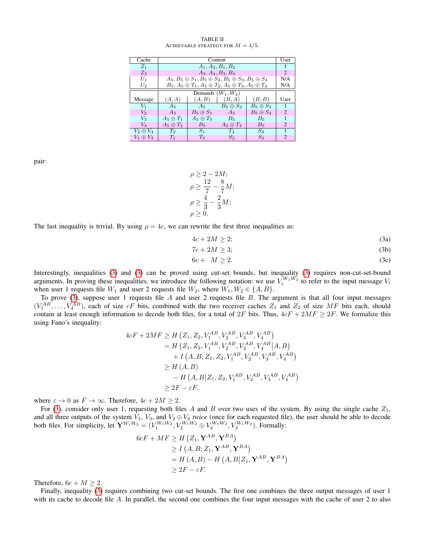<span id="page-8-0"></span>

| Cache              | Content                                                               |                  |                  |                  |                |  |
|--------------------|-----------------------------------------------------------------------|------------------|------------------|------------------|----------------|--|
| $Z_1$              | $A_1, A_2, B_1, B_2$                                                  |                  |                  |                  |                |  |
| $Z_2$              | $A_3, A_4, B_3, B_4$                                                  |                  |                  |                  |                |  |
| $U_1$              | $A_5, B_5 \oplus S_1, B_5 \oplus S_2, B_5 \oplus S_3, B_5 \oplus S_4$ |                  |                  |                  |                |  |
| $U_2$              | $B_5, A_5 \oplus T_1, A_5 \oplus T_2, A_5 \oplus T_3, A_5 \oplus T_4$ |                  |                  |                  |                |  |
|                    | Demands $(W_1, W_2)$                                                  |                  |                  |                  |                |  |
| Message            | (A, A)                                                                | (A, B)           | (B, A)           | (B, B)           | User           |  |
| $V_1$              | $A_5$                                                                 | $A_5$            | $B_5 \oplus S_2$ | $B_5 \oplus S_3$ |                |  |
| $V_2$              | $A_5$                                                                 | $B_5\oplus S_1$  | $A_5$            | $B_5 \oplus S_4$ | $\mathfrak{D}$ |  |
| $V_3$              | $A_5 \oplus T_1$                                                      | $A_5 \oplus T_3$ | B <sub>5</sub>   | $B_5$            |                |  |
| $\scriptstyle V_4$ | $A_5 \oplus T_2$                                                      | $B_5$            | $A_5 \oplus T_4$ | $B_5$            | $\mathfrak{D}$ |  |
| $V_2\oplus V_4$    | $T_2$                                                                 | $S_1$            | $T_4$            | $S_4$            |                |  |
| $V_1 \oplus V_3$   | $T_1$                                                                 | $T_3$            | $S_2$            | $S_3$            | 2              |  |

TABLE II ACHIEVABLE STRATEGY FOR  $M = 4/5$ .

pair:

 $\rho \geq 2-2M;$  $\rho \geq \frac{12}{7}$ 7 − 8  $\frac{8}{7}M;$  $\rho \geq \frac{4}{3}$  $\frac{1}{3}$  – 2  $\frac{2}{3}M;$  $\rho \geq 0.$ 

The last inequality is trivial. By using  $\rho = 4c$ , we can rewrite the first three inequalities as:

$$
4c + 2M \ge 2; \tag{3a}
$$

$$
+2M>3;
$$
 (3b)

$$
7c + 2M \ge 3;
$$
\n
$$
6c + M \ge 2.
$$
\n(3b)\n
$$
(3c)
$$

Interestingly, inequalities [\(3\)](#page-8-0) and [\(3\)](#page-8-0) can be proved using cut-set bounds, but inequality [\(3\)](#page-8-0) requires non-cut-set-bound arguments. In proving these inequalities, we introduce the following notation: we use  $V_i^{W_1W_2}$  to refer to the input message  $V_i$ when user 1 requests file  $W_1$  and user 2 requests file  $W_2$ , where  $W_1, W_2 \in \{A, B\}$ .

To prove [\(3\)](#page-8-0), suppose user 1 requests file  $A$  and user 2 requests file  $B$ . The argument is that all four input messages  $(V_1^{AB}, \ldots, V_4^{AB})$ , each of size  $cF$  bits, combined with the two receiver caches  $Z_1$  and  $Z_2$  of size MF bits each, should contain at least enough information to decode both files, for a total of  $2F$  bits. Thus,  $4cF + 2MF \ge 2F$ . We formalize this using Fano's inequality:

$$
4cF + 2MF \ge H (Z_1, Z_2, V_1^{AB}, V_2^{AB}, V_3^{AB}, V_4^{AB})
$$
  
=  $H (Z_1, Z_2, V_1^{AB}, V_2^{AB}, V_3^{AB}, V_4^{AB} | A, B)$   
+  $I (A, B; Z_1, Z_2, V_1^{AB}, V_2^{AB}, V_3^{AB}, V_4^{AB})$   
 $\ge H (A, B)$   
-  $H (A, B | Z_1, Z_2, V_1^{AB}, V_2^{AB}, V_3^{AB}, V_4^{AB})$   
 $\ge 2F - \varepsilon F,$ 

where  $\varepsilon \to 0$  as  $F \to \infty$ . Therefore,  $4c + 2M \ge 2$ .

For [\(3\)](#page-8-0), consider only user 1, requesting both files A and B over two uses of the system. By using the single cache  $Z_1$ , and all three outputs of the system  $V_1$ ,  $V_3$ , and  $V_2 \oplus V_4$  *twice* (once for each requested file), the user should be able to decode both files. For simplicity, let  $\mathbf{Y}^{W_1 W_2} = (V_1^{W_1 W_2}, V_2^{W_1 W_2} \oplus V_4^{W_1 W_2}, V_3^{W_1 W_2})$ . Formally:

$$
6cF + MF \ge H(Z_1, \mathbf{Y}^{AB}, \mathbf{Y}^{BA})
$$
  
\n
$$
\ge I(A, B; Z_1, \mathbf{Y}^{AB}, \mathbf{Y}^{BA})
$$
  
\n
$$
= H(A, B) - H(A, B|Z_1, \mathbf{Y}^{AB}, \mathbf{Y}^{BA})
$$
  
\n
$$
\ge 2F - \varepsilon F.
$$

Therefore,  $6c + M \geq 2$ .

Finally, inequality [\(3\)](#page-8-0) requires combining two cut-set bounds. The first one combines the three output messages of user 1 with its cache to decode file A. In parallel, the second one combines the four input messages with the cache of user 2 to also